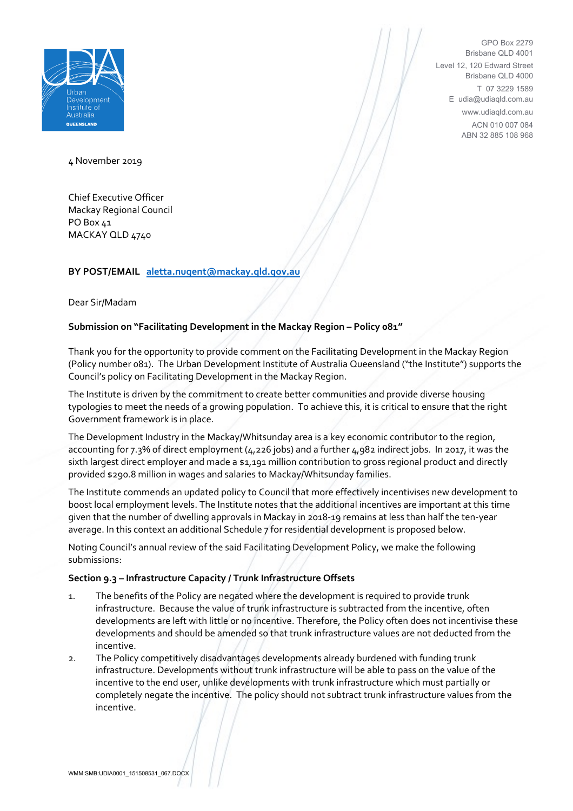

GPO Box 2279 Brisbane QLD 4001 Level 12, 120 Edward Street Brisbane QLD 4000 T 07 3229 1589 E udia@udiaqld.com.au www.udiaqld.com.au ACN 010 007 084 ABN 32 885 108 968

4 November 2019

Chief Executive Officer Mackay Regional Council PO Box 41 MACKAY QLD 4740

# **BY POST/EMAIL [aletta.nugent@mackay.qld.gov.au](mailto:aletta.nugent@mackay.qld.gov.au)**

Dear Sir/Madam

### **Submission on "Facilitating Development in the Mackay Region – Policy 081"**

Thank you for the opportunity to provide comment on the Facilitating Development in the Mackay Region (Policy number 081). The Urban Development Institute of Australia Queensland ("the Institute") supports the Council's policy on Facilitating Development in the Mackay Region.

The Institute is driven by the commitment to create better communities and provide diverse housing typologies to meet the needs of a growing population. To achieve this, it is critical to ensure that the right Government framework is in place.

The Development Industry in the Mackay/Whitsunday area is a key economic contributor to the region, accounting for 7.3% of direct employment (4,226 jobs) and a further 4,982 indirect jobs. In 2017, it was the sixth largest direct employer and made a \$1,191 million contribution to gross regional product and directly provided \$290.8 million in wages and salaries to Mackay/Whitsunday families.

The Institute commends an updated policy to Council that more effectively incentivises new development to boost local employment levels. The Institute notes that the additional incentives are important at this time given that the number of dwelling approvals in Mackay in 2018-19 remains at less than half the ten-year average. In this context an additional Schedule 7 for residential development is proposed below.

Noting Council's annual review of the said Facilitating Development Policy, we make the following submissions:

### **Section 9.3 – Infrastructure Capacity / Trunk Infrastructure Offsets**

- 1. The benefits of the Policy are negated where the development is required to provide trunk infrastructure. Because the value of trunk infrastructure is subtracted from the incentive, often developments are left with little or no incentive. Therefore, the Policy often does not incentivise these developments and should be amended so that trunk infrastructure values are not deducted from the incentive.
- 2. The Policy competitively disadvantages developments already burdened with funding trunk infrastructure. Developments without trunk infrastructure will be able to pass on the value of the incentive to the end user, unlike developments with trunk infrastructure which must partially or completely negate the incentive. The policy should not subtract trunk infrastructure values from the incentive.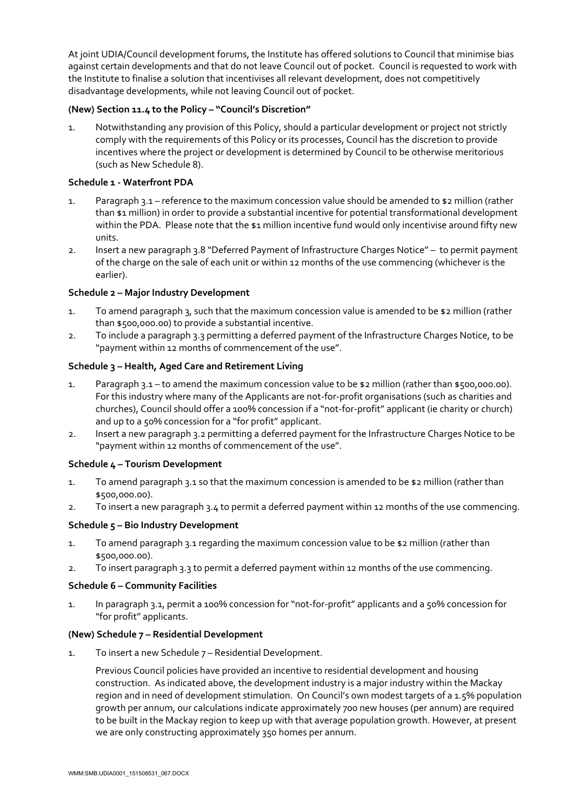At joint UDIA/Council development forums, the Institute has offered solutions to Council that minimise bias against certain developments and that do not leave Council out of pocket. Council is requested to work with the Institute to finalise a solution that incentivises all relevant development, does not competitively disadvantage developments, while not leaving Council out of pocket.

# **(New) Section 11.4 to the Policy – "Council's Discretion"**

1. Notwithstanding any provision of this Policy, should a particular development or project not strictly comply with the requirements of this Policy or its processes, Council has the discretion to provide incentives where the project or development is determined by Council to be otherwise meritorious (such as New Schedule 8).

### **Schedule 1 - Waterfront PDA**

- 1. Paragraph 3.1 reference to the maximum concession value should be amended to \$2 million (rather than \$1 million) in order to provide a substantial incentive for potential transformational development within the PDA. Please note that the \$1 million incentive fund would only incentivise around fifty new units.
- 2. Insert a new paragraph 3.8 "Deferred Payment of Infrastructure Charges Notice" to permit payment of the charge on the sale of each unit or within 12 months of the use commencing (whichever is the earlier).

# **Schedule 2 – Major Industry Development**

- 1. To amend paragraph 3, such that the maximum concession value is amended to be \$2 million (rather than \$500,000.00) to provide a substantial incentive.
- 2. To include a paragraph 3.3 permitting a deferred payment of the Infrastructure Charges Notice, to be "payment within 12 months of commencement of the use".

# **Schedule 3 – Health, Aged Care and Retirement Living**

- 1. Paragraph 3.1 to amend the maximum concession value to be \$2 million (rather than \$500,000.00). For this industry where many of the Applicants are not-for-profit organisations (such as charities and churches), Council should offer a 100% concession if a "not-for-profit" applicant (ie charity or church) and up to a 50% concession for a "for profit" applicant.
- 2. Insert a new paragraph 3.2 permitting a deferred payment for the Infrastructure Charges Notice to be "payment within 12 months of commencement of the use".

### **Schedule 4 – Tourism Development**

- 1. To amend paragraph 3.1 so that the maximum concession is amended to be \$2 million (rather than \$500,000.00).
- 2. To insert a new paragraph 3.4 to permit a deferred payment within 12 months of the use commencing.

### **Schedule 5 – Bio Industry Development**

- 1. To amend paragraph 3.1 regarding the maximum concession value to be \$2 million (rather than \$500,000.00).
- 2. To insert paragraph 3.3 to permit a deferred payment within 12 months of the use commencing.

### **Schedule 6 – Community Facilities**

1. In paragraph 3.1, permit a 100% concession for "not-for-profit" applicants and a 50% concession for "for profit" applicants.

### **(New) Schedule 7 – Residential Development**

1. To insert a new Schedule 7 – Residential Development.

Previous Council policies have provided an incentive to residential development and housing construction. As indicated above, the development industry is a major industry within the Mackay region and in need of development stimulation. On Council's own modest targets of a 1.5% population growth per annum, our calculations indicate approximately 700 new houses (per annum) are required to be built in the Mackay region to keep up with that average population growth. However, at present we are only constructing approximately 350 homes per annum.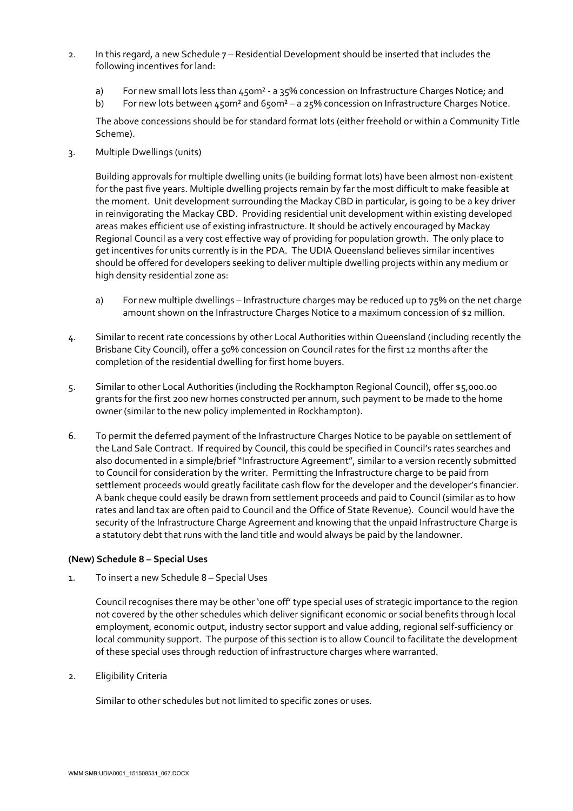- 2. In this regard, a new Schedule 7 Residential Development should be inserted that includes the following incentives for land:
	- a) For new small lots less than 450m<sup>2</sup> a 35% concession on Infrastructure Charges Notice; and
	- b) For new lots between 450m<sup>2</sup> and 650m<sup>2</sup> a 25% concession on Infrastructure Charges Notice.

The above concessions should be for standard format lots (either freehold or within a Community Title Scheme).

3. Multiple Dwellings (units)

Building approvals for multiple dwelling units (ie building format lots) have been almost non-existent for the past five years. Multiple dwelling projects remain by far the most difficult to make feasible at the moment. Unit development surrounding the Mackay CBD in particular, is going to be a key driver in reinvigorating the Mackay CBD. Providing residential unit development within existing developed areas makes efficient use of existing infrastructure. It should be actively encouraged by Mackay Regional Council as a very cost effective way of providing for population growth. The only place to get incentives for units currently is in the PDA. The UDIA Queensland believes similar incentives should be offered for developers seeking to deliver multiple dwelling projects within any medium or high density residential zone as:

- a) For new multiple dwellings Infrastructure charges may be reduced up to 75% on the net charge amount shown on the Infrastructure Charges Notice to a maximum concession of \$2 million.
- 4. Similar to recent rate concessions by other Local Authorities within Queensland (including recently the Brisbane City Council), offer a 50% concession on Council rates for the first 12 months after the completion of the residential dwelling for first home buyers.
- 5. Similar to other Local Authorities (including the Rockhampton Regional Council), offer \$5,000.00 grants for the first 200 new homes constructed per annum, such payment to be made to the home owner (similar to the new policy implemented in Rockhampton).
- 6. To permit the deferred payment of the Infrastructure Charges Notice to be payable on settlement of the Land Sale Contract. If required by Council, this could be specified in Council's rates searches and also documented in a simple/brief "Infrastructure Agreement", similar to a version recently submitted to Council for consideration by the writer. Permitting the Infrastructure charge to be paid from settlement proceeds would greatly facilitate cash flow for the developer and the developer's financier. A bank cheque could easily be drawn from settlement proceeds and paid to Council (similar as to how rates and land tax are often paid to Council and the Office of State Revenue). Council would have the security of the Infrastructure Charge Agreement and knowing that the unpaid Infrastructure Charge is a statutory debt that runs with the land title and would always be paid by the landowner.

### **(New) Schedule 8 – Special Uses**

1. To insert a new Schedule 8 – Special Uses

Council recognises there may be other 'one off' type special uses of strategic importance to the region not covered by the other schedules which deliver significant economic or social benefits through local employment, economic output, industry sector support and value adding, regional self-sufficiency or local community support. The purpose of this section is to allow Council to facilitate the development of these special uses through reduction of infrastructure charges where warranted.

2. Eligibility Criteria

Similar to other schedules but not limited to specific zones or uses.